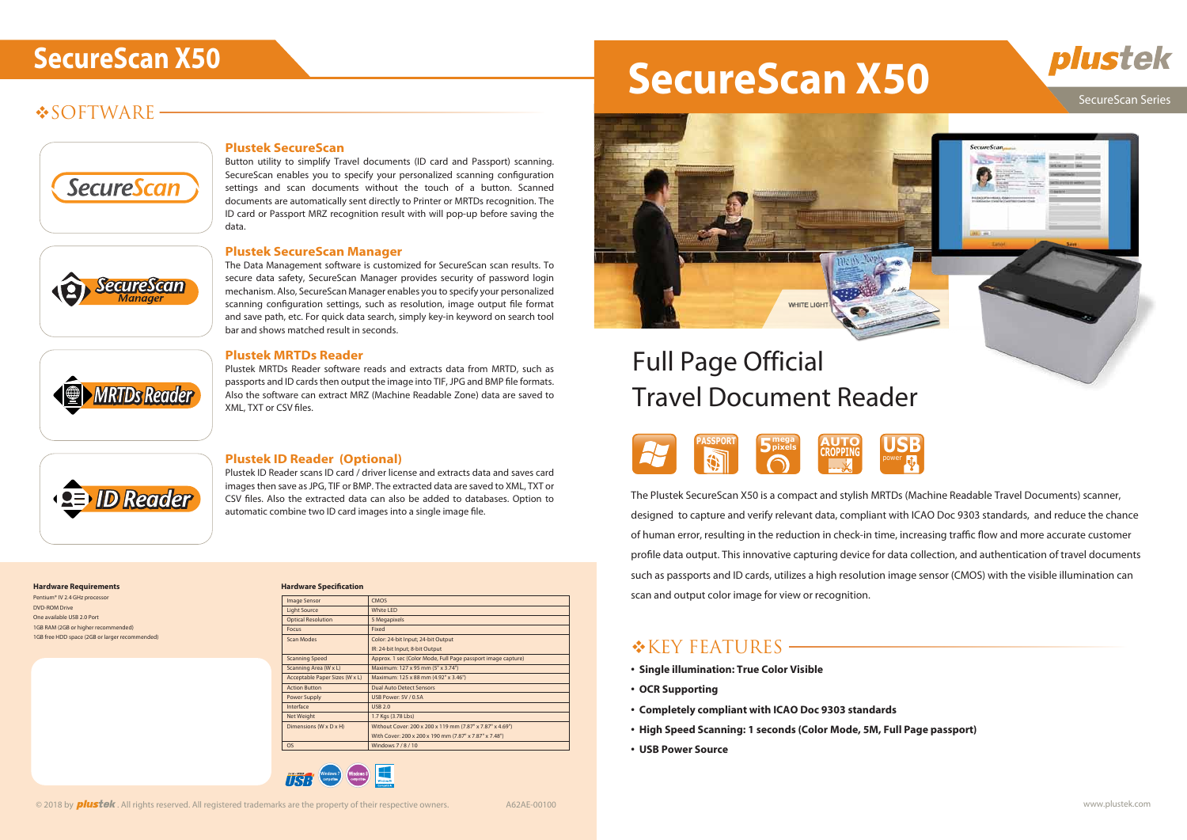## **SOFTWARE**



<u>SecureScan</u>

### SecureScan Series





# SecureScan X50

The Plustek SecureScan X50 is a compact and stylish MRTDs (Machine Readable Travel Documents) scanner, designed to capture and verify relevant data, compliant with ICAO Doc 9303 standards, and reduce the chance of human error, resulting in the reduction in check-in time, increasing traffic flow and more accurate customer profile data output. This innovative capturing device for data collection, and authentication of travel documents such as passports and ID cards, utilizes a high resolution image sensor (CMOS) with the visible illumination can scan and output color image for view or recognition.

## \*KEY FEATURES -

- **Single illumination: True Color Visible**
- **OCR Supporting**
- **Completely compliant with ICAO Doc 9303 standards**
- **High Speed Scanning: 1 seconds (Color Mode, 5M, Full Page passport)**
- **USB Power Source**





Plustek MRTDs Reader software reads and extracts data from MRTD, such as passports and ID cards then output the image into TIF, JPG and BMP file formats. Also the software can extract MRZ (Machine Readable Zone) data are saved to XML, TXT or CSV files.



MRTDs Reader

#### **Plustek SecureScan**

Plustek ID Reader scans ID card / driver license and extracts data and saves card images then save as JPG, TIF or BMP. The extracted data are saved to XML, TXT or CSV files. Also the extracted data can also be added to databases. Option to automatic combine two ID card images into a single image file.

Button utility to simplify Travel documents (ID card and Passport) scanning. SecureScan enables you to specify your personalized scanning configuration settings and scan documents without the touch of a button. Scanned documents are automatically sent directly to Printer or MRTDs recognition. The ID card or Passport MRZ recognition result with will pop-up before saving the data.

#### **Plustek SecureScan Manager**

The Data Management software is customized for SecureScan scan results. To secure data safety, SecureScan Manager provides security of password login mechanism. Also, SecureScan Manager enables you to specify your personalized scanning configuration settings, such as resolution, image output file format and save path, etc. For quick data search, simply key-in keyword on search tool bar and shows matched result in seconds.

Pentium® IV 2.4 GHz proces DVD-ROM Drive One available USB 2.0 Port 1GB RAM (2GB or higher recommended) 1GB free HDD space (2GB or larger recommended)



#### **Plustek MRTDs Reader**

#### **Plustek ID Reader (Optional)**

| <b>Haraware Specification</b>  |                                                              |
|--------------------------------|--------------------------------------------------------------|
| <b>Image Sensor</b>            | <b>CMOS</b>                                                  |
| <b>Light Source</b>            | White LED                                                    |
| <b>Optical Resolution</b>      | 5 Megapixels                                                 |
| <b>Focus</b>                   | Fixed                                                        |
| Scan Modes                     | Color: 24-bit Input; 24-bit Output                           |
|                                | IR: 24-bit Input; 8-bit Output                               |
| <b>Scanning Speed</b>          | Approx. 1 sec (Color Mode, Full Page passport image capture) |
| Scanning Area (W x L)          | Maximum: 127 x 95 mm (5" x 3.74")                            |
| Acceptable Paper Sizes (W x L) | Maximum: 125 x 88 mm (4.92" x 3.46")                         |
| <b>Action Button</b>           | <b>Dual Auto Detect Sensors</b>                              |
| Power Supply                   | USB Power: 5V / 0.5A                                         |
| Interface                      | USB 2.0                                                      |
| Net Weight                     | 1.7 Kgs (3.78 Lbs)                                           |
| Dimensions (W x D x H)         | Without Cover: 200 x 200 x 119 mm (7.87" x 7.87" x 4.69")    |
|                                | With Cover: 200 x 200 x 190 mm (7.87" x 7.87" x 7.48")       |
| <b>OS</b>                      | Windows 7/8/10                                               |

#### **Hardware Specication**



# Travel Document Reader

#### **Hardware Requirements**